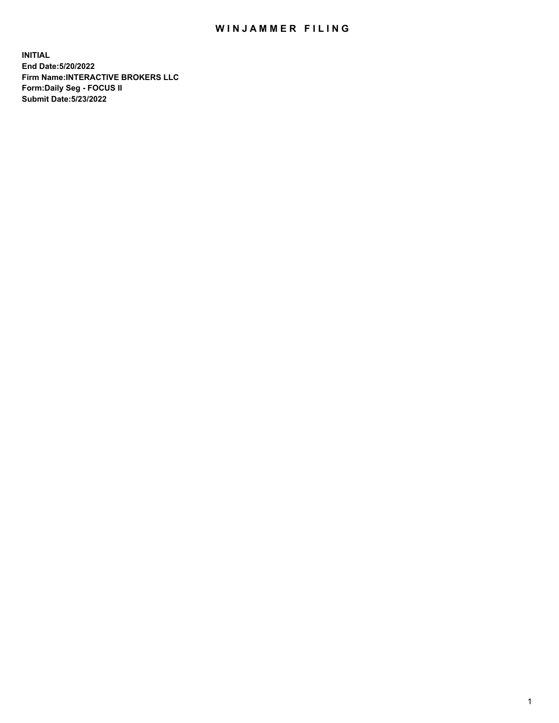## WIN JAMMER FILING

**INITIAL End Date:5/20/2022 Firm Name:INTERACTIVE BROKERS LLC Form:Daily Seg - FOCUS II Submit Date:5/23/2022**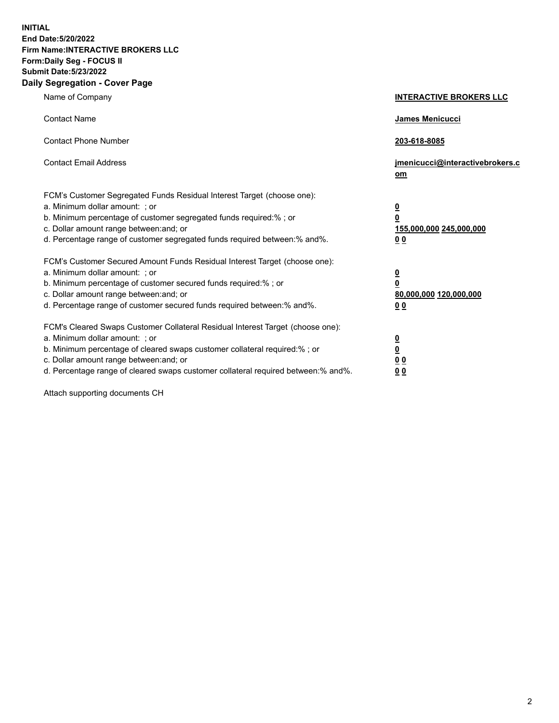**INITIAL End Date:5/20/2022 Firm Name:INTERACTIVE BROKERS LLC Form:Daily Seg - FOCUS II Submit Date:5/23/2022 Daily Segregation - Cover Page**

| Name of Company                                                                                                                                                                                                                                                                                                               | <b>INTERACTIVE BROKERS LLC</b>                                                                  |
|-------------------------------------------------------------------------------------------------------------------------------------------------------------------------------------------------------------------------------------------------------------------------------------------------------------------------------|-------------------------------------------------------------------------------------------------|
| <b>Contact Name</b>                                                                                                                                                                                                                                                                                                           | James Menicucci                                                                                 |
| <b>Contact Phone Number</b>                                                                                                                                                                                                                                                                                                   | 203-618-8085                                                                                    |
| <b>Contact Email Address</b>                                                                                                                                                                                                                                                                                                  | jmenicucci@interactivebrokers.c<br><u>om</u>                                                    |
| FCM's Customer Segregated Funds Residual Interest Target (choose one):<br>a. Minimum dollar amount: ; or<br>b. Minimum percentage of customer segregated funds required:% ; or<br>c. Dollar amount range between: and; or<br>d. Percentage range of customer segregated funds required between:% and%.                        | $\overline{\mathbf{0}}$<br>$\overline{\mathbf{0}}$<br>155,000,000 245,000,000<br>0 <sub>0</sub> |
| FCM's Customer Secured Amount Funds Residual Interest Target (choose one):<br>a. Minimum dollar amount: ; or<br>b. Minimum percentage of customer secured funds required:%; or<br>c. Dollar amount range between: and; or<br>d. Percentage range of customer secured funds required between:% and%.                           | $\overline{\mathbf{0}}$<br>$\overline{\mathbf{0}}$<br>80,000,000 120,000,000<br>0 <sub>0</sub>  |
| FCM's Cleared Swaps Customer Collateral Residual Interest Target (choose one):<br>a. Minimum dollar amount: ; or<br>b. Minimum percentage of cleared swaps customer collateral required:%; or<br>c. Dollar amount range between: and; or<br>d. Percentage range of cleared swaps customer collateral required between:% and%. | $\overline{\mathbf{0}}$<br>$\overline{\mathbf{0}}$<br>0 <sub>0</sub><br>0 <sub>0</sub>          |

Attach supporting documents CH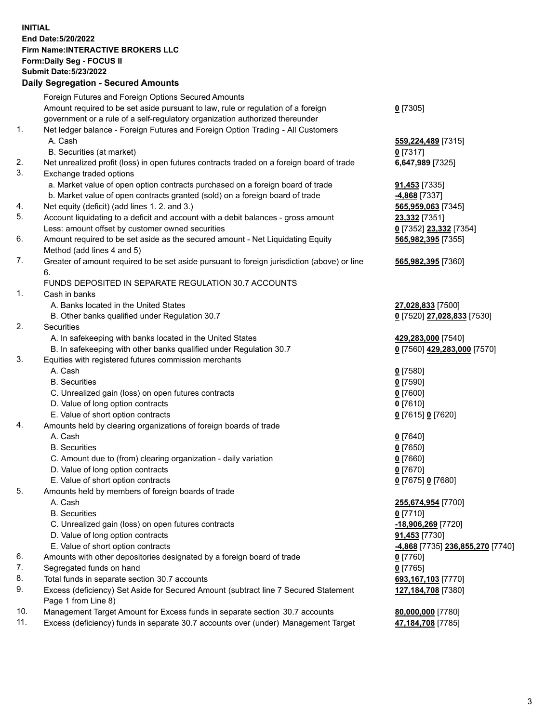**INITIAL End Date:5/20/2022 Firm Name:INTERACTIVE BROKERS LLC Form:Daily Seg - FOCUS II Submit Date:5/23/2022 Daily Segregation - Secured Amounts**

|                | Foreign Futures and Foreign Options Secured Amounts                                                |                                               |
|----------------|----------------------------------------------------------------------------------------------------|-----------------------------------------------|
|                | Amount required to be set aside pursuant to law, rule or regulation of a foreign                   | $0$ [7305]                                    |
|                | government or a rule of a self-regulatory organization authorized thereunder                       |                                               |
| $\mathbf{1}$ . | Net ledger balance - Foreign Futures and Foreign Option Trading - All Customers                    |                                               |
|                | A. Cash                                                                                            | 559,224,489 [7315]                            |
|                | B. Securities (at market)                                                                          | $0$ [7317]                                    |
| 2.             | Net unrealized profit (loss) in open futures contracts traded on a foreign board of trade          | 6,647,989 [7325]                              |
| 3.             | Exchange traded options                                                                            |                                               |
|                | a. Market value of open option contracts purchased on a foreign board of trade                     | 91,453 [7335]                                 |
|                | b. Market value of open contracts granted (sold) on a foreign board of trade                       | -4,868 [7337]                                 |
| 4.             | Net equity (deficit) (add lines 1. 2. and 3.)                                                      | 565,959,063 [7345]                            |
| 5.             | Account liquidating to a deficit and account with a debit balances - gross amount                  | 23,332 [7351]                                 |
|                | Less: amount offset by customer owned securities                                                   | 0 [7352] 23,332 [7354]                        |
| 6.             | Amount required to be set aside as the secured amount - Net Liquidating Equity                     | 565,982,395 [7355]                            |
|                | Method (add lines 4 and 5)                                                                         |                                               |
| 7.             | Greater of amount required to be set aside pursuant to foreign jurisdiction (above) or line        | 565,982,395 [7360]                            |
|                | 6.                                                                                                 |                                               |
|                | FUNDS DEPOSITED IN SEPARATE REGULATION 30.7 ACCOUNTS                                               |                                               |
| 1.             | Cash in banks                                                                                      |                                               |
|                | A. Banks located in the United States                                                              | 27,028,833 [7500]                             |
|                | B. Other banks qualified under Regulation 30.7                                                     | 0 [7520] 27,028,833 [7530]                    |
| 2.             | <b>Securities</b>                                                                                  |                                               |
|                | A. In safekeeping with banks located in the United States                                          | 429,283,000 [7540]                            |
|                | B. In safekeeping with other banks qualified under Regulation 30.7                                 | 0 [7560] 429,283,000 [7570]                   |
| 3.             | Equities with registered futures commission merchants                                              |                                               |
|                | A. Cash                                                                                            | $0$ [7580]                                    |
|                | <b>B.</b> Securities                                                                               | $0$ [7590]                                    |
|                | C. Unrealized gain (loss) on open futures contracts                                                | $0$ [7600]                                    |
|                | D. Value of long option contracts                                                                  | $0$ [7610]                                    |
|                | E. Value of short option contracts                                                                 | 0 [7615] 0 [7620]                             |
| 4.             | Amounts held by clearing organizations of foreign boards of trade                                  |                                               |
|                | A. Cash                                                                                            | $0$ [7640]                                    |
|                | <b>B.</b> Securities                                                                               | $0$ [7650]                                    |
|                | C. Amount due to (from) clearing organization - daily variation                                    | $0$ [7660]                                    |
|                | D. Value of long option contracts                                                                  | $0$ [7670]                                    |
|                | E. Value of short option contracts                                                                 | 0 [7675] 0 [7680]                             |
| 5.             | Amounts held by members of foreign boards of trade                                                 |                                               |
|                | A. Cash                                                                                            | 255,674,954 [7700]                            |
|                | <b>B.</b> Securities                                                                               | $0$ [7710]                                    |
|                | C. Unrealized gain (loss) on open futures contracts                                                | -18,906,269 [7720]                            |
|                | D. Value of long option contracts                                                                  | 91,453 [7730]                                 |
|                | E. Value of short option contracts                                                                 | <mark>-4,868</mark> [7735] 236,855,270 [7740] |
| 6.             | Amounts with other depositories designated by a foreign board of trade                             | 0 [7760]                                      |
| 7.             | Segregated funds on hand                                                                           | $0$ [7765]                                    |
| 8.             | Total funds in separate section 30.7 accounts                                                      | 693,167,103 [7770]                            |
| 9.             | Excess (deficiency) Set Aside for Secured Amount (subtract line 7 Secured Statement                | 127,184,708 [7380]                            |
| 10.            | Page 1 from Line 8)<br>Management Target Amount for Excess funds in separate section 30.7 accounts | 80,000,000 [7780]                             |
| 11.            | Excess (deficiency) funds in separate 30.7 accounts over (under) Management Target                 |                                               |
|                |                                                                                                    | 47,184,708 [7785]                             |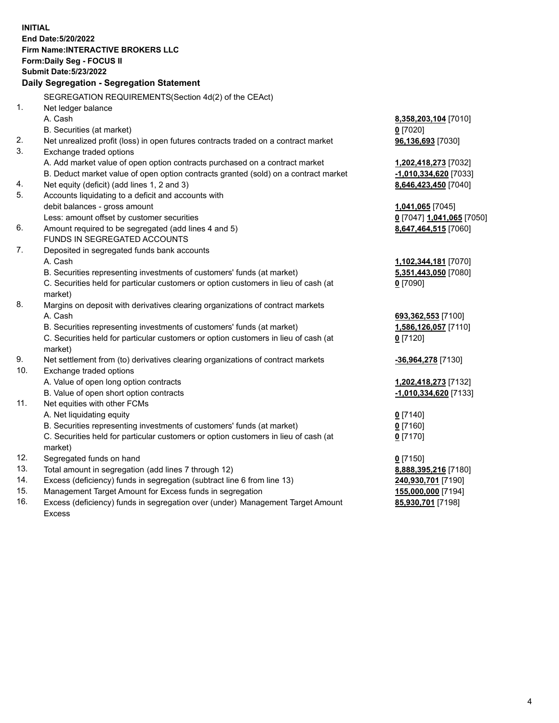**INITIAL End Date:5/20/2022 Firm Name:INTERACTIVE BROKERS LLC Form:Daily Seg - FOCUS II Submit Date:5/23/2022 Daily Segregation - Segregation Statement** SEGREGATION REQUIREMENTS(Section 4d(2) of the CEAct) 1. Net ledger balance A. Cash **8,358,203,104** [7010] B. Securities (at market) **0** [7020] 2. Net unrealized profit (loss) in open futures contracts traded on a contract market **96,136,693** [7030] 3. Exchange traded options A. Add market value of open option contracts purchased on a contract market **1,202,418,273** [7032] B. Deduct market value of open option contracts granted (sold) on a contract market **-1,010,334,620** [7033] 4. Net equity (deficit) (add lines 1, 2 and 3) **8,646,423,450** [7040] 5. Accounts liquidating to a deficit and accounts with debit balances - gross amount **1,041,065** [7045] Less: amount offset by customer securities **0** [7047] **1,041,065** [7050] 6. Amount required to be segregated (add lines 4 and 5) **8,647,464,515** [7060] FUNDS IN SEGREGATED ACCOUNTS 7. Deposited in segregated funds bank accounts A. Cash **1,102,344,181** [7070] B. Securities representing investments of customers' funds (at market) **5,351,443,050** [7080] C. Securities held for particular customers or option customers in lieu of cash (at market) **0** [7090] 8. Margins on deposit with derivatives clearing organizations of contract markets A. Cash **693,362,553** [7100] B. Securities representing investments of customers' funds (at market) **1,586,126,057** [7110] C. Securities held for particular customers or option customers in lieu of cash (at market) **0** [7120] 9. Net settlement from (to) derivatives clearing organizations of contract markets **-36,964,278** [7130] 10. Exchange traded options A. Value of open long option contracts **1,202,418,273** [7132] B. Value of open short option contracts **-1,010,334,620** [7133] 11. Net equities with other FCMs A. Net liquidating equity **0** [7140] B. Securities representing investments of customers' funds (at market) **0** [7160] C. Securities held for particular customers or option customers in lieu of cash (at market) **0** [7170] 12. Segregated funds on hand **0** [7150] 13. Total amount in segregation (add lines 7 through 12) **8,888,395,216** [7180] 14. Excess (deficiency) funds in segregation (subtract line 6 from line 13) **240,930,701** [7190] 15. Management Target Amount for Excess funds in segregation **155,000,000** [7194] 16. Excess (deficiency) funds in segregation over (under) Management Target Amount **85,930,701** [7198]

Excess